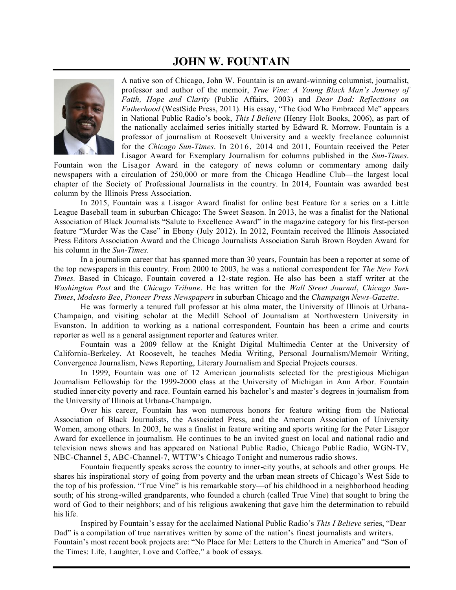# **JOHN W. FOUNTAIN**



A native son of Chicago, John W. Fountain is an award-winning columnist, journalist, professor and author of the memoir, *True Vine: A Young Black Man's Journey of Faith, Hope and Clarity* (Public Affairs, 2003) and *Dear Dad: Reflections on Fatherhood* (WestSide Press, 2011). His essay, "The God Who Embraced Me" appears in National Public Radio's book, *This I Believe* (Henry Holt Books, 2006), as part of the nationally acclaimed series initially started by Edward R. Morrow. Fountain is a professor of journalism at Roosevelt University and a weekly freelance columnist for the *Chicago Sun-Times*. In 2016, 2014 and 2011, Fountain received the Peter Lisagor Award for Exemplary Journalism for columns published in the *Sun-Times*.

Fountain won the Lisagor Award in the category of news column or commentary among daily newspapers with a circulation of 250,000 or more from the Chicago Headline Club—the largest local chapter of the Society of Professional Journalists in the country. In 2014, Fountain was awarded best column by the Illinois Press Association.

In 2015, Fountain was a Lisagor Award finalist for online best Feature for a series on a Little League Baseball team in suburban Chicago: The Sweet Season. In 2013, he was a finalist for the National Association of Black Journalists "Salute to Excellence Award" in the magazine category for his first-person feature "Murder Was the Case" in Ebony (July 2012). In 2012, Fountain received the Illinois Associated Press Editors Association Award and the Chicago Journalists Association Sarah Brown Boyden Award for his column in the *Sun-Times.*

In a journalism career that has spanned more than 30 years, Fountain has been a reporter at some of the top newspapers in this country. From 2000 to 2003, he was a national correspondent for *The New York Times.* Based in Chicago, Fountain covered a 12-state region. He also has been a staff writer at the *Washington Post* and the *Chicago Tribune*. He has written for the *Wall Street Journal*, *Chicago Sun-Times*, *Modesto Bee*, *Pioneer Press Newspapers* in suburban Chicago and the *Champaign News-Gazette*.

He was formerly a tenured full professor at his alma mater, the University of Illinois at Urbana-Champaign, and visiting scholar at the Medill School of Journalism at Northwestern University in Evanston. In addition to working as a national correspondent, Fountain has been a crime and courts reporter as well as a general assignment reporter and features writer.

Fountain was a 2009 fellow at the Knight Digital Multimedia Center at the University of California-Berkeley. At Roosevelt, he teaches Media Writing, Personal Journalism/Memoir Writing, Convergence Journalism, News Reporting, Literary Journalism and Special Projects courses.

In 1999, Fountain was one of 12 American journalists selected for the prestigious Michigan Journalism Fellowship for the 1999-2000 class at the University of Michigan in Ann Arbor. Fountain studied inner-city poverty and race. Fountain earned his bachelor's and master's degrees in journalism from the University of Illinois at Urbana-Champaign.

Over his career, Fountain has won numerous honors for feature writing from the National Association of Black Journalists, the Associated Press, and the American Association of University Women, among others. In 2003, he was a finalist in feature writing and sports writing for the Peter Lisagor Award for excellence in journalism. He continues to be an invited guest on local and national radio and television news shows and has appeared on National Public Radio, Chicago Public Radio, WGN-TV, NBC-Channel 5, ABC-Channel-7, WTTW's Chicago Tonight and numerous radio shows.

Fountain frequently speaks across the country to inner-city youths, at schools and other groups. He shares his inspirational story of going from poverty and the urban mean streets of Chicago's West Side to the top of his profession. "True Vine" is his remarkable story—of his childhood in a neighborhood heading south; of his strong-willed grandparents, who founded a church (called True Vine) that sought to bring the word of God to their neighbors; and of his religious awakening that gave him the determination to rebuild his life.

Inspired by Fountain's essay for the acclaimed National Public Radio's *This I Believe* series, "Dear Dad" is a compilation of true narratives written by some of the nation's finest journalists and writers. Fountain's most recent book projects are: "No Place for Me: Letters to the Church in America" and "Son of the Times: Life, Laughter, Love and Coffee," a book of essays.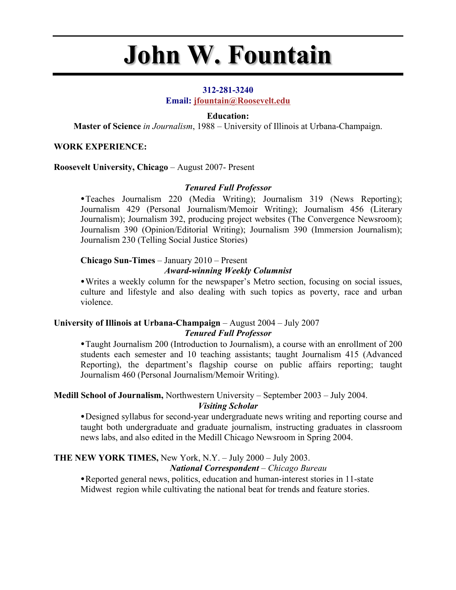# **John W. Fountain**

## **312-281-3240**

**Email: jfountain@Roosevelt.edu**

# **Education:**

**Master of Science** *in Journalism*, 1988 – University of Illinois at Urbana-Champaign.

# **WORK EXPERIENCE:**

## **Roosevelt University, Chicago** – August 2007- Present

# *Tenured Full Professor*

•Teaches Journalism 220 (Media Writing); Journalism 319 (News Reporting); Journalism 429 (Personal Journalism/Memoir Writing); Journalism 456 (Literary Journalism); Journalism 392, producing project websites (The Convergence Newsroom); Journalism 390 (Opinion/Editorial Writing); Journalism 390 (Immersion Journalism); Journalism 230 (Telling Social Justice Stories)

# **Chicago Sun-Times** – January 2010 – Present

# *Award-winning Weekly Columnist*

•Writes a weekly column for the newspaper's Metro section, focusing on social issues, culture and lifestyle and also dealing with such topics as poverty, race and urban violence.

# **University of Illinois at Urbana-Champaign** – August 2004 – July 2007 *Tenured Full Professor*

•Taught Journalism 200 (Introduction to Journalism), a course with an enrollment of 200 students each semester and 10 teaching assistants; taught Journalism 415 (Advanced Reporting), the department's flagship course on public affairs reporting; taught Journalism 460 (Personal Journalism/Memoir Writing).

# **Medill School of Journalism,** Northwestern University – September 2003 – July 2004.

# *Visiting Scholar*

•Designed syllabus for second-year undergraduate news writing and reporting course and taught both undergraduate and graduate journalism, instructing graduates in classroom news labs, and also edited in the Medill Chicago Newsroom in Spring 2004.

### **THE NEW YORK TIMES,** New York, N.Y. – July 2000 – July 2003. *National Correspondent – Chicago Bureau*

•Reported general news, politics, education and human-interest stories in 11-state Midwest region while cultivating the national beat for trends and feature stories.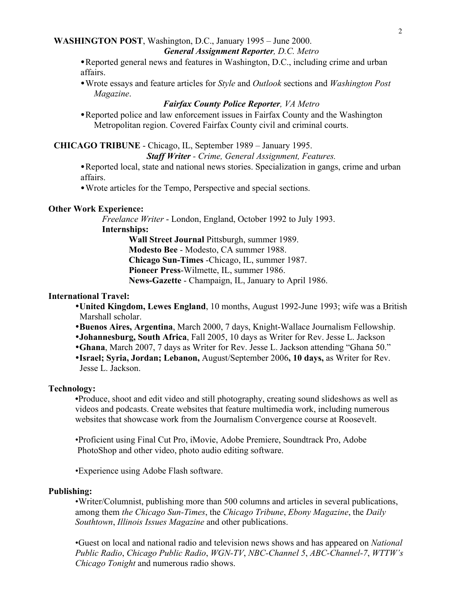#### **WASHINGTON POST**, Washington, D.C., January 1995 – June 2000. *General Assignment Reporter, D.C. Metro*

•Reported general news and features in Washington, D.C., including crime and urban

affairs.

•Wrote essays and feature articles for *Style* and *Outlook* sections and *Washington Post Magazine*.

# *Fairfax County Police Reporter, VA Metro*

•Reported police and law enforcement issues in Fairfax County and the Washington Metropolitan region. Covered Fairfax County civil and criminal courts.

# **CHICAGO TRIBUNE** - Chicago, IL, September 1989 – January 1995.

# *Staff Writer - Crime, General Assignment, Features.*

•Reported local, state and national news stories. Specialization in gangs, crime and urban affairs.

•Wrote articles for the Tempo, Perspective and special sections.

# **Other Work Experience:**

*Freelance Writer* - London, England, October 1992 to July 1993. **Internships:**

**Wall Street Journal** Pittsburgh, summer 1989. **Modesto Bee** - Modesto, CA summer 1988. **Chicago Sun-Times** -Chicago, IL, summer 1987. **Pioneer Press**-Wilmette, IL, summer 1986. **News-Gazette** - Champaign, IL, January to April 1986.

# **International Travel:**

- **United Kingdom, Lewes England**, 10 months, August 1992-June 1993; wife was a British Marshall scholar.
- **Buenos Aires, Argentina**, March 2000, 7 days, Knight-Wallace Journalism Fellowship.
- **Johannesburg, South Africa**, Fall 2005, 10 days as Writer for Rev. Jesse L. Jackson
- **Ghana**, March 2007, 7 days as Writer for Rev. Jesse L. Jackson attending "Ghana 50."
- **Israel; Syria, Jordan; Lebanon,** August/September 2006**, 10 days,** as Writer for Rev. Jesse L. Jackson.

# **Technology:**

**•**Produce, shoot and edit video and still photography, creating sound slideshows as well as videos and podcasts. Create websites that feature multimedia work, including numerous websites that showcase work from the Journalism Convergence course at Roosevelt.

•Proficient using Final Cut Pro, iMovie, Adobe Premiere, Soundtrack Pro, Adobe PhotoShop and other video, photo audio editing software.

•Experience using Adobe Flash software.

# **Publishing:**

•Writer/Columnist, publishing more than 500 columns and articles in several publications, among them *the Chicago Sun-Times*, the *Chicago Tribune*, *Ebony Magazine*, the *Daily Southtown*, *Illinois Issues Magazine* and other publications.

•Guest on local and national radio and television news shows and has appeared on *National Public Radio*, *Chicago Public Radio*, *WGN-TV*, *NBC-Channel 5*, *ABC-Channel-7*, *WTTW's Chicago Tonight* and numerous radio shows.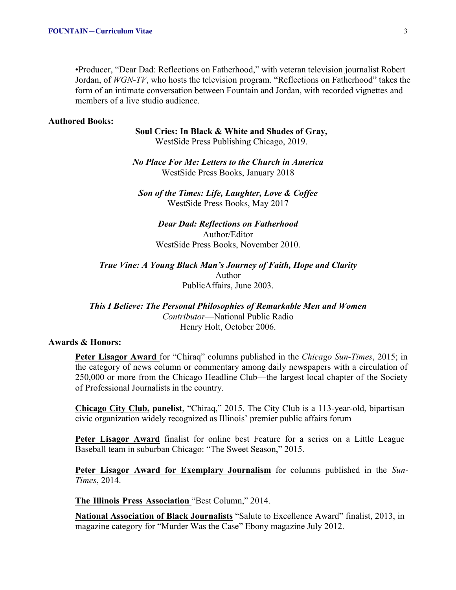•Producer, "Dear Dad: Reflections on Fatherhood," with veteran television journalist Robert Jordan, of *WGN-TV*, who hosts the television program. "Reflections on Fatherhood" takes the form of an intimate conversation between Fountain and Jordan, with recorded vignettes and members of a live studio audience.

#### **Authored Books:**

**Soul Cries: In Black & White and Shades of Gray,** WestSide Press Publishing Chicago, 2019.

*No Place For Me: Letters to the Church in America* WestSide Press Books, January 2018

*Son of the Times: Life, Laughter, Love & Coffee* WestSide Press Books, May 2017

*Dear Dad: Reflections on Fatherhood* Author/Editor WestSide Press Books, November 2010.

*True Vine: A Young Black Man's Journey of Faith, Hope and Clarity* Author PublicAffairs, June 2003.

*This I Believe: The Personal Philosophies of Remarkable Men and Women Contributor*—National Public Radio Henry Holt, October 2006.

#### **Awards & Honors:**

**Peter Lisagor Award** for "Chiraq" columns published in the *Chicago Sun-Times*, 2015; in the category of news column or commentary among daily newspapers with a circulation of 250,000 or more from the Chicago Headline Club—the largest local chapter of the Society of Professional Journalists in the country.

**Chicago City Club, panelist**, "Chiraq," 2015. The City Club is a 113-year-old, bipartisan civic organization widely recognized as Illinois' premier public affairs forum

**Peter Lisagor Award** finalist for online best Feature for a series on a Little League Baseball team in suburban Chicago: "The Sweet Season," 2015.

**Peter Lisagor Award for Exemplary Journalism** for columns published in the *Sun-Times*, 2014.

**The Illinois Press Association** "Best Column," 2014.

**National Association of Black Journalists** "Salute to Excellence Award" finalist, 2013, in magazine category for "Murder Was the Case" Ebony magazine July 2012.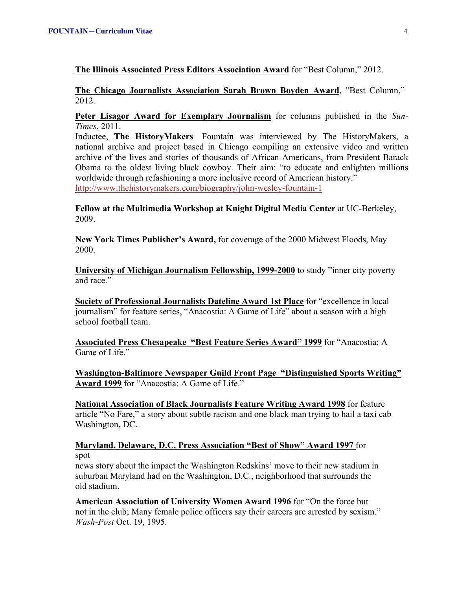**The Illinois Associated Press Editors Association Award** for "Best Column," 2012.

**The Chicago Journalists Association Sarah Brown Boyden Award**, "Best Column," 2012.

**Peter Lisagor Award for Exemplary Journalism** for columns published in the *Sun-Times*, 2011.

Inductee, **The HistoryMakers**—Fountain was interviewed by The HistoryMakers, a national archive and project based in Chicago compiling an extensive video and written archive of the lives and stories of thousands of African Americans, from President Barack Obama to the oldest living black cowboy. Their aim: "to educate and enlighten millions worldwide through refashioning a more inclusive record of American history." http://www.thehistorymakers.com/biography/john-wesley-fountain-1

**Fellow at the Multimedia Workshop at Knight Digital Media Center** at UC-Berkeley, 2009.

**New York Times Publisher's Award,** for coverage of the 2000 Midwest Floods, May 2000.

**University of Michigan Journalism Fellowship, 1999-2000** to study "inner city poverty and race."

**Society of Professional Journalists Dateline Award 1st Place** for "excellence in local journalism" for feature series, "Anacostia: A Game of Life" about a season with a high school football team.

**Associated Press Chesapeake "Best Feature Series Award" 1999** for "Anacostia: A Game of Life."

**Washington-Baltimore Newspaper Guild Front Page "Distinguished Sports Writing" Award 1999** for "Anacostia: A Game of Life."

**National Association of Black Journalists Feature Writing Award 1998** for feature article "No Fare," a story about subtle racism and one black man trying to hail a taxi cab Washington, DC.

**Maryland, Delaware, D.C. Press Association "Best of Show" Award 1997** for spot

news story about the impact the Washington Redskins' move to their new stadium in suburban Maryland had on the Washington, D.C., neighborhood that surrounds the old stadium.

**American Association of University Women Award 1996** for "On the force but not in the club; Many female police officers say their careers are arrested by sexism." *Wash-Post* Oct. 19, 1995.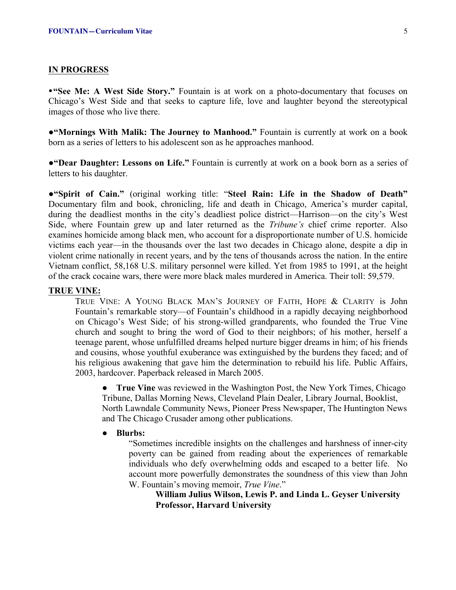#### **IN PROGRESS**

•**"See Me: A West Side Story."** Fountain is at work on a photo-documentary that focuses on Chicago's West Side and that seeks to capture life, love and laughter beyond the stereotypical images of those who live there.

●**"Mornings With Malik: The Journey to Manhood."** Fountain is currently at work on a book born as a series of letters to his adolescent son as he approaches manhood.

●**"Dear Daughter: Lessons on Life."** Fountain is currently at work on a book born as a series of letters to his daughter.

**●"Spirit of Cain."** (original working title: "**Steel Rain: Life in the Shadow of Death"** Documentary film and book, chronicling, life and death in Chicago, America's murder capital, during the deadliest months in the city's deadliest police district—Harrison—on the city's West Side, where Fountain grew up and later returned as the *Tribune's* chief crime reporter. Also examines homicide among black men, who account for a disproportionate number of U.S. homicide victims each year—in the thousands over the last two decades in Chicago alone, despite a dip in violent crime nationally in recent years, and by the tens of thousands across the nation. In the entire Vietnam conflict, 58,168 U.S. military personnel were killed. Yet from 1985 to 1991, at the height of the crack cocaine wars, there were more black males murdered in America. Their toll: 59,579.

## **TRUE VINE:**

TRUE VINE: A YOUNG BLACK MAN'S JOURNEY OF FAITH, HOPE & CLARITY is John Fountain's remarkable story—of Fountain's childhood in a rapidly decaying neighborhood on Chicago's West Side; of his strong-willed grandparents, who founded the True Vine church and sought to bring the word of God to their neighbors; of his mother, herself a teenage parent, whose unfulfilled dreams helped nurture bigger dreams in him; of his friends and cousins, whose youthful exuberance was extinguished by the burdens they faced; and of his religious awakening that gave him the determination to rebuild his life. Public Affairs, 2003, hardcover. Paperback released in March 2005.

**• True Vine** was reviewed in the Washington Post, the New York Times, Chicago Tribune, Dallas Morning News, Cleveland Plain Dealer, Library Journal, Booklist, North Lawndale Community News, Pioneer Press Newspaper, The Huntington News and The Chicago Crusader among other publications.

#### **● Blurbs:**

"Sometimes incredible insights on the challenges and harshness of inner-city poverty can be gained from reading about the experiences of remarkable individuals who defy overwhelming odds and escaped to a better life. No account more powerfully demonstrates the soundness of this view than John W. Fountain's moving memoir, *True Vine*."

**William Julius Wilson, Lewis P. and Linda L. Geyser University Professor, Harvard University**